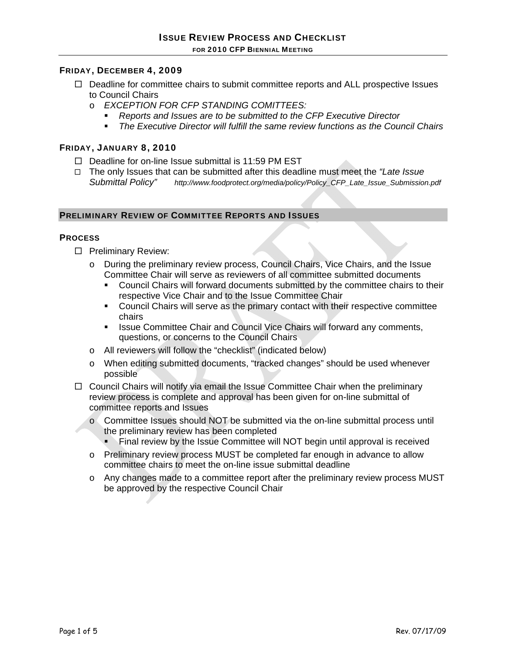## FRIDAY, DECEMBER 4, 2009

- $\Box$  Deadline for committee chairs to submit committee reports and ALL prospective Issues to Council Chairs
	- o *EXCEPTION FOR CFP STANDING COMITTEES:* 
		- *Reports and Issues are to be submitted to the CFP Executive Director*
		- *The Executive Director will fulfill the same review functions as the Council Chairs*

### FRIDAY, JANUARY 8, 2010

- $\Box$  Deadline for on-line Issue submittal is 11:59 PM EST
- The only Issues that can be submitted after this deadline must meet the *"Late Issue Submittal Policy" http://www.foodprotect.org/media/policy/Policy\_CFP\_Late\_Issue\_Submission.pdf*

## PRELIMINARY REVIEW OF COMMITTEE REPORTS AND ISSUES

#### **PROCESS**

- $\square$  Preliminary Review:
	- o During the preliminary review process, Council Chairs, Vice Chairs, and the Issue Committee Chair will serve as reviewers of all committee submitted documents
		- Council Chairs will forward documents submitted by the committee chairs to their respective Vice Chair and to the Issue Committee Chair
		- Council Chairs will serve as the primary contact with their respective committee chairs
		- **In It is a Committee Chair and Council Vice Chairs will forward any comments, Inc.** questions, or concerns to the Council Chairs
	- o All reviewers will follow the "checklist" (indicated below)
	- o When editing submitted documents, "tracked changes" should be used whenever possible
- $\Box$  Council Chairs will notify via email the Issue Committee Chair when the preliminary review process is complete and approval has been given for on-line submittal of committee reports and Issues
	- o Committee Issues should NOT be submitted via the on-line submittal process until the preliminary review has been completed
		- Final review by the Issue Committee will NOT begin until approval is received
	- o Preliminary review process MUST be completed far enough in advance to allow committee chairs to meet the on-line issue submittal deadline
	- o Any changes made to a committee report after the preliminary review process MUST be approved by the respective Council Chair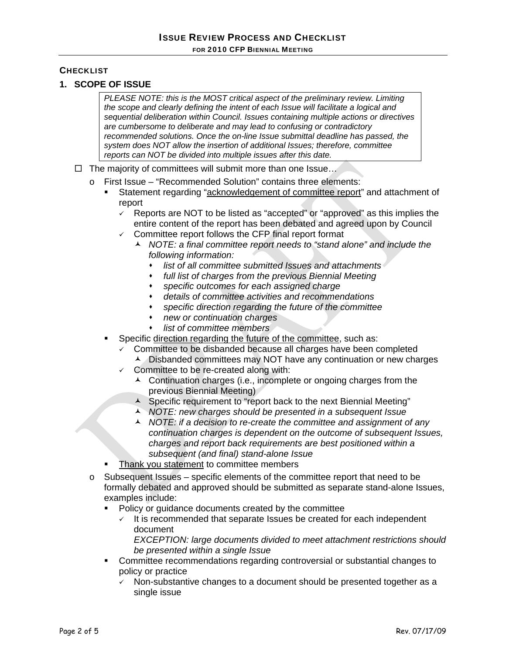# **CHECKLIST**

## **1. SCOPE OF ISSUE**

*PLEASE NOTE: this is the MOST critical aspect of the preliminary review. Limiting the scope and clearly defining the intent of each Issue will facilitate a logical and sequential deliberation within Council. Issues containing multiple actions or directives are cumbersome to deliberate and may lead to confusing or contradictory recommended solutions. Once the on-line Issue submittal deadline has passed, the system does NOT allow the insertion of additional Issues; therefore, committee reports can NOT be divided into multiple issues after this date.*

- $\Box$  The majority of committees will submit more than one Issue...
	- o First Issue "Recommended Solution" contains three elements:
		- Statement regarding "acknowledgement of committee report" and attachment of report
			- $\checkmark$  Reports are NOT to be listed as "accepted" or "approved" as this implies the entire content of the report has been debated and agreed upon by Council
			- Committee report follows the CFP final report format
				- *NOTE: a final committee report needs to "stand alone" and include the following information:* 
					- *list of all committee submitted Issues and attachments*
					- *full list of charges from the previous Biennial Meeting*
					- *specific outcomes for each assigned charge*
					- *details of committee activities and recommendations*
					- *specific direction regarding the future of the committee*
					- *new or continuation charges*
					- *list of committee members*
			- Specific direction regarding the future of the committee, such as:
				- $\checkmark$  Committee to be disbanded because all charges have been completed
					- A Disbanded committees may NOT have any continuation or new charges
				- $\checkmark$  Committee to be re-created along with:
					- ▲ Continuation charges (i.e., incomplete or ongoing charges from the previous Biennial Meeting)
					- Specific requirement to "report back to the next Biennial Meeting"
					- *NOTE: new charges should be presented in a subsequent Issue*
					- *NOTE: if a decision to re-create the committee and assignment of any continuation charges is dependent on the outcome of subsequent Issues, charges and report back requirements are best positioned within a subsequent (and final) stand-alone Issue*
		- Thank you statement to committee members
	- o Subsequent Issues specific elements of the committee report that need to be formally debated and approved should be submitted as separate stand-alone Issues, examples include:
		- Policy or guidance documents created by the committee
			- $\sqrt{ }$  It is recommended that separate Issues be created for each independent document

*EXCEPTION: large documents divided to meet attachment restrictions should be presented within a single Issue* 

- Committee recommendations regarding controversial or substantial changes to policy or practice
	- $\sqrt{ }$  Non-substantive changes to a document should be presented together as a single issue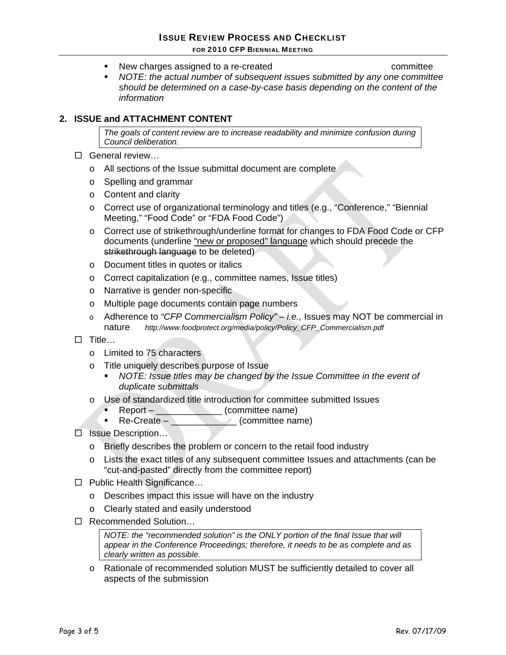- New charges assigned to a re-created example that committee
- *NOTE: the actual number of subsequent issues submitted by any one committee should be determined on a case-by-case basis depending on the content of the information*

## **2. ISSUE and ATTACHMENT CONTENT**

*The goals of content review are to increase readability and minimize confusion during Council deliberation.* 

- □ General review...
	- o All sections of the Issue submittal document are complete
	- o Spelling and grammar
	- o Content and clarity
	- o Correct use of organizational terminology and titles (e.g., "Conference," "Biennial Meeting," "Food Code" or "FDA Food Code")
	- o Correct use of strikethrough/underline format for changes to FDA Food Code or CFP documents (underline "new or proposed" language which should precede the strikethrough language to be deleted)
	- o Document titles in quotes or italics
	- o Correct capitalization (e.g., committee names, Issue titles)
	- o Narrative is gender non-specific
	- o Multiple page documents contain page numbers
	- o Adherence to *"CFP Commercialism Policy" i.e.,* Issues may NOT be commercial in nature *http://www.foodprotect.org/media/policy/Policy\_CFP\_Commercialism.pdf*
- $\square$  Title…
	- o Limited to 75 characters
	- o Title uniquely describes purpose of Issue
		- *NOTE: Issue titles may be changed by the Issue Committee in the event of duplicate submittals*
	- o Use of standardized title introduction for committee submitted Issues
		- Report **\_\_\_\_\_\_\_\_\_\_\_\_\_** (committee name)<br>Re-Create (committee name)
		- **Committee name**)
- □ Issue Description...
	- o Briefly describes the problem or concern to the retail food industry
	- o Lists the exact titles of any subsequent committee Issues and attachments (can be "cut-and-pasted" directly from the committee report)
- □ Public Health Significance...
	- o Describes impact this issue will have on the industry
	- o Clearly stated and easily understood
- □ Recommended Solution...

*NOTE: the "recommended solution" is the ONLY portion of the final Issue that will appear in the Conference Proceedings; therefore, it needs to be as complete and as clearly written as possible.*

o Rationale of recommended solution MUST be sufficiently detailed to cover all aspects of the submission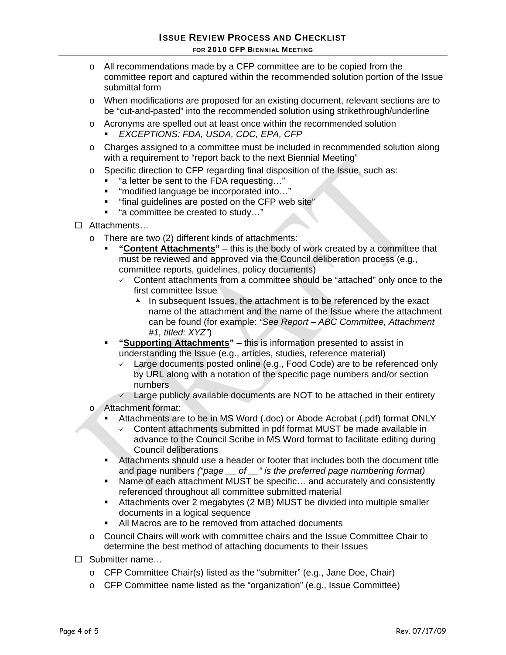- o All recommendations made by a CFP committee are to be copied from the committee report and captured within the recommended solution portion of the Issue submittal form
- o When modifications are proposed for an existing document, relevant sections are to be "cut-and-pasted" into the recommended solution using strikethrough/underline
- o Acronyms are spelled out at least once within the recommended solution *EXCEPTIONS: FDA, USDA, CDC, EPA, CFP*
- o Charges assigned to a committee must be included in recommended solution along with a requirement to "report back to the next Biennial Meeting"
- o Specific direction to CFP regarding final disposition of the Issue, such as:
	- "a letter be sent to the FDA requesting…"
	- "modified language be incorporated into..."
	- "final guidelines are posted on the CFP web site"
	- "a committee be created to study…"
- Attachments…
	- o There are two (2) different kinds of attachments:
		- **"Content Attachments"** this is the body of work created by a committee that must be reviewed and approved via the Council deliberation process (e.g., committee reports, guidelines, policy documents)
			- $\sim$  Content attachments from a committee should be "attached" only once to the first committee Issue
				- $\lambda$  In subsequent Issues, the attachment is to be referenced by the exact name of the attachment and the name of the Issue where the attachment can be found (for example: *"See Report – ABC Committee, Attachment #1, titled: XYZ"*)
		- **"Supporting Attachments"** this is information presented to assist in understanding the Issue (e.g., articles, studies, reference material)
			- $\checkmark$  Large documents posted online (e.g., Food Code) are to be referenced only by URL along with a notation of the specific page numbers and/or section numbers
			- $\overline{\smash{\leftarrow}}$  Large publicly available documents are NOT to be attached in their entirety
	- o Attachment format:
		- Attachments are to be in MS Word (.doc) or Abode Acrobat (.pdf) format ONLY
		- 9 Content attachments submitted in pdf format MUST be made available in advance to the Council Scribe in MS Word format to facilitate editing during Council deliberations
		- Attachments should use a header or footer that includes both the document title and page numbers *("page \_\_ of \_\_" is the preferred page numbering format)*
		- Name of each attachment MUST be specific... and accurately and consistently referenced throughout all committee submitted material
		- Attachments over 2 megabytes (2 MB) MUST be divided into multiple smaller documents in a logical sequence
		- All Macros are to be removed from attached documents
	- o Council Chairs will work with committee chairs and the Issue Committee Chair to determine the best method of attaching documents to their Issues
- □ Submitter name...
	- o CFP Committee Chair(s) listed as the "submitter" (e.g., Jane Doe, Chair)
	- o CFP Committee name listed as the "organization" (e.g., Issue Committee)